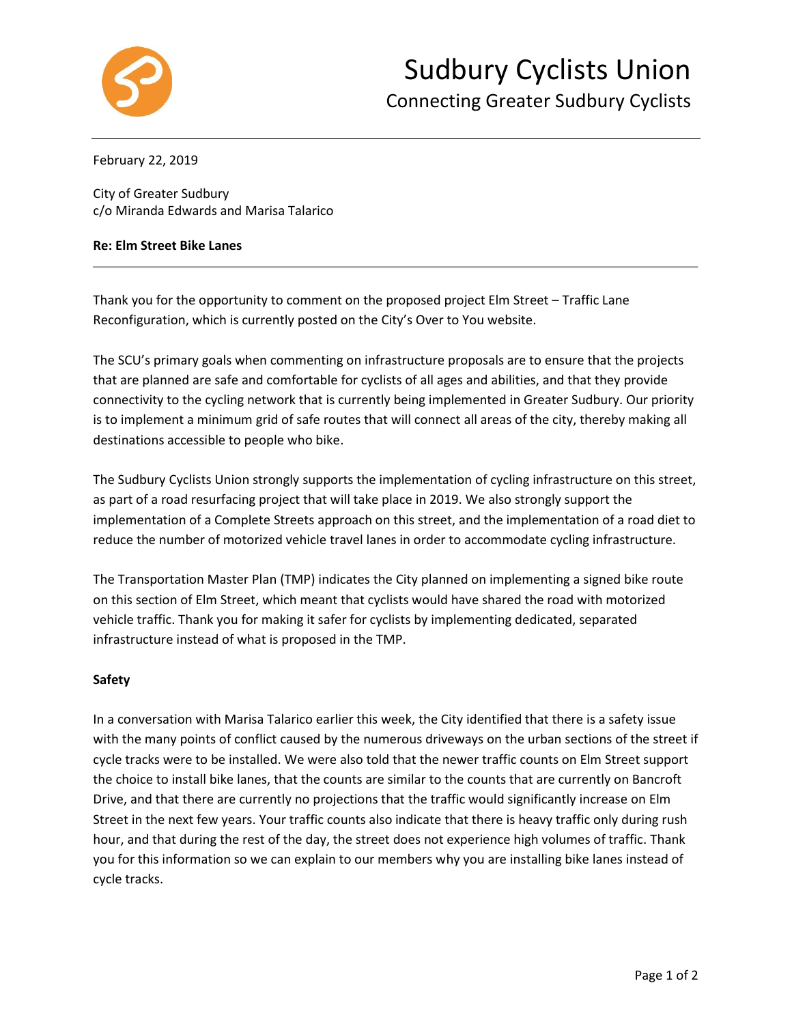

### February 22, 2019

City of Greater Sudbury c/o Miranda Edwards and Marisa Talarico

#### **Re: Elm Street Bike Lanes**

Thank you for the opportunity to comment on the proposed project Elm Street – Traffic Lane Reconfiguration, which is currently posted on the City's Over to You website.

The SCU's primary goals when commenting on infrastructure proposals are to ensure that the projects that are planned are safe and comfortable for cyclists of all ages and abilities, and that they provide connectivity to the cycling network that is currently being implemented in Greater Sudbury. Our priority is to implement a minimum grid of safe routes that will connect all areas of the city, thereby making all destinations accessible to people who bike.

The Sudbury Cyclists Union strongly supports the implementation of cycling infrastructure on this street, as part of a road resurfacing project that will take place in 2019. We also strongly support the implementation of a Complete Streets approach on this street, and the implementation of a road diet to reduce the number of motorized vehicle travel lanes in order to accommodate cycling infrastructure.

The Transportation Master Plan (TMP) indicates the City planned on implementing a signed bike route on this section of Elm Street, which meant that cyclists would have shared the road with motorized vehicle traffic. Thank you for making it safer for cyclists by implementing dedicated, separated infrastructure instead of what is proposed in the TMP.

### **Safety**

In a conversation with Marisa Talarico earlier this week, the City identified that there is a safety issue with the many points of conflict caused by the numerous driveways on the urban sections of the street if cycle tracks were to be installed. We were also told that the newer traffic counts on Elm Street support the choice to install bike lanes, that the counts are similar to the counts that are currently on Bancroft Drive, and that there are currently no projections that the traffic would significantly increase on Elm Street in the next few years. Your traffic counts also indicate that there is heavy traffic only during rush hour, and that during the rest of the day, the street does not experience high volumes of traffic. Thank you for this information so we can explain to our members why you are installing bike lanes instead of cycle tracks.